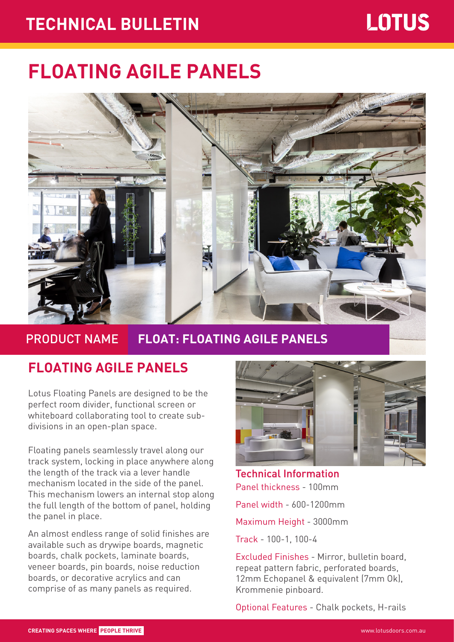## **TECHNICAL BULLETIN** Page 1 of 2 **TECHNICAL BULLETIN**

# **FLOATING AGILE PANELS**



### PRODUCT NAME **FLOAT: FLOATING AGILE PANELS**

#### **FLOATING AGILE PANELS**

Lotus Floating Panels are designed to be the perfect room divider, functional screen or whiteboard collaborating tool to create subdivisions in an open-plan space.

Floating panels seamlessly travel along our track system, locking in place anywhere along the length of the track via a lever handle mechanism located in the side of the panel. This mechanism lowers an internal stop along the full length of the bottom of panel, holding the panel in place.

An almost endless range of solid finishes are available such as drywipe boards, magnetic boards, chalk pockets, laminate boards, veneer boards, pin boards, noise reduction boards, or decorative acrylics and can comprise of as many panels as required.



Technical Information Panel thickness - 100mm Panel width - 600-1200mm

Maximum Height - 3000mm

Track - 100-1, 100-4

Excluded Finishes - Mirror, bulletin board, repeat pattern fabric, perforated boards, 12mm Echopanel & equivalent (7mm Ok), Krommenie pinboard.

Optional Features - Chalk pockets, H-rails